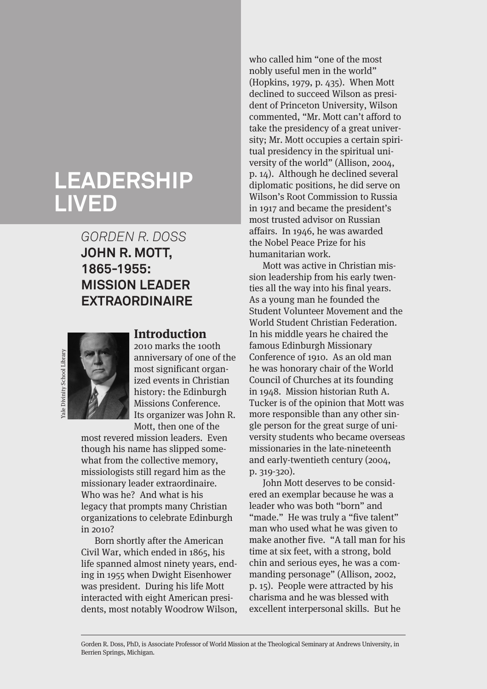# **LEADERSHIP LIVED**

## *GORDEN R. DOSS* **JOHN R. MOTT, 1865-1955: MISSION LEADER EXTRAORDINAIRE**



#### **Introduction**

2010 marks the 100th anniversary of one of the most significant organized events in Christian history: the Edinburgh Missions Conference. Its organizer was John R. Mott, then one of the

most revered mission leaders. Even though his name has slipped somewhat from the collective memory, missiologists still regard him as the missionary leader extraordinaire. Who was he? And what is his legacy that prompts many Christian organizations to celebrate Edinburgh in 2010?

Born shortly after the American Civil War, which ended in 1865, his life spanned almost ninety years, ending in 1955 when Dwight Eisenhower was president. During his life Mott interacted with eight American presidents, most notably Woodrow Wilson,

who called him "one of the most nobly useful men in the world" (Hopkins, 1979, p. 435). When Mott declined to succeed Wilson as president of Princeton University, Wilson commented, "Mr. Mott can't afford to take the presidency of a great university; Mr. Mott occupies a certain spiritual presidency in the spiritual university of the world" (Allison, 2004, p. 14). Although he declined several diplomatic positions, he did serve on Wilson's Root Commission to Russia in 1917 and became the president's most trusted advisor on Russian affairs. In 1946, he was awarded the Nobel Peace Prize for his humanitarian work.

Mott was active in Christian mission leadership from his early twenties all the way into his final years. As a young man he founded the Student Volunteer Movement and the World Student Christian Federation. In his middle years he chaired the famous Edinburgh Missionary Conference of 1910. As an old man he was honorary chair of the World Council of Churches at its founding in 1948. Mission historian Ruth A. Tucker is of the opinion that Mott was more responsible than any other single person for the great surge of university students who became overseas missionaries in the late-nineteenth and early-twentieth century (2004, p. 319-320).

John Mott deserves to be considered an exemplar because he was a leader who was both "born" and "made." He was truly a "five talent" man who used what he was given to make another five. "A tall man for his time at six feet, with a strong, bold chin and serious eyes, he was a commanding personage" (Allison, 2002, p. 15). People were attracted by his charisma and he was blessed with excellent interpersonal skills. But he

Gorden R. Doss, PhD, is Associate Professor of World Mission at the Theological Seminary at Andrews University, in Berrien Springs, Michigan.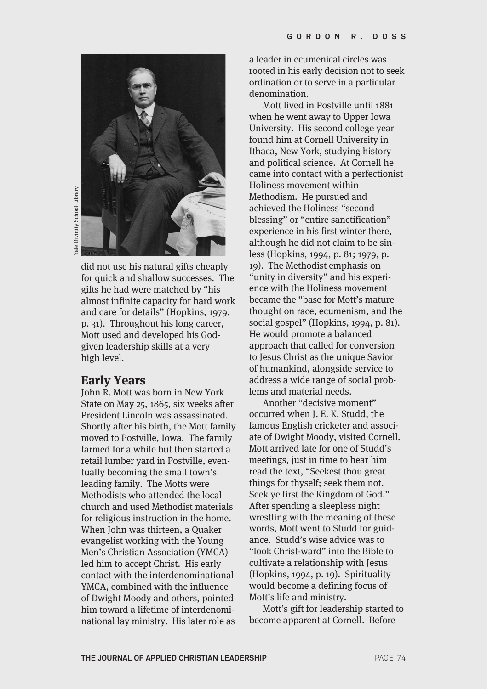

ale Divinity School Library Yale Divinity School Library

> did not use his natural gifts cheaply for quick and shallow successes. The gifts he had were matched by "his almost infinite capacity for hard work and care for details" (Hopkins, 1979, p. 31). Throughout his long career, Mott used and developed his Godgiven leadership skills at a very high level.

#### **Early Years**

John R. Mott was born in New York State on May 25, 1865, six weeks after President Lincoln was assassinated. Shortly after his birth, the Mott family moved to Postville, Iowa. The family farmed for a while but then started a retail lumber yard in Postville, eventually becoming the small town's leading family. The Motts were Methodists who attended the local church and used Methodist materials for religious instruction in the home. When John was thirteen, a Quaker evangelist working with the Young Men's Christian Association (YMCA) led him to accept Christ. His early contact with the interdenominational YMCA, combined with the influence of Dwight Moody and others, pointed him toward a lifetime of interdenominational lay ministry. His later role as

a leader in ecumenical circles was rooted in his early decision not to seek ordination or to serve in a particular denomination.

Mott lived in Postville until 1881 when he went away to Upper Iowa University. His second college year found him at Cornell University in Ithaca, New York, studying history and political science. At Cornell he came into contact with a perfectionist Holiness movement within Methodism. He pursued and achieved the Holiness "second blessing" or "entire sanctification" experience in his first winter there, although he did not claim to be sinless (Hopkins, 1994, p. 81; 1979, p. 19). The Methodist emphasis on "unity in diversity" and his experience with the Holiness movement became the "base for Mott's mature thought on race, ecumenism, and the social gospel" (Hopkins, 1994, p. 81). He would promote a balanced approach that called for conversion to Jesus Christ as the unique Savior of humankind, alongside service to address a wide range of social problems and material needs.

Another "decisive moment" occurred when J. E. K. Studd, the famous English cricketer and associate of Dwight Moody, visited Cornell. Mott arrived late for one of Studd's meetings, just in time to hear him read the text, "Seekest thou great things for thyself; seek them not. Seek ye first the Kingdom of God." After spending a sleepless night wrestling with the meaning of these words, Mott went to Studd for guidance. Studd's wise advice was to "look Christ-ward" into the Bible to cultivate a relationship with Jesus (Hopkins, 1994, p. 19). Spirituality would become a defining focus of Mott's life and ministry.

Mott's gift for leadership started to become apparent at Cornell. Before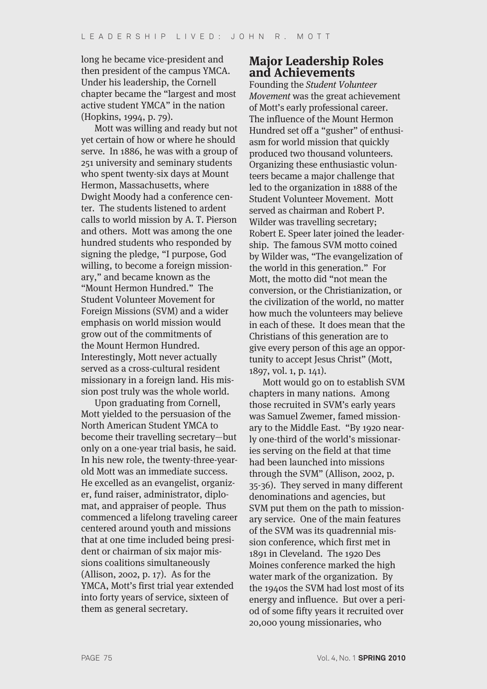long he became vice-president and then president of the campus YMCA. Under his leadership, the Cornell chapter became the "largest and most active student YMCA" in the nation (Hopkins, 1994, p. 79).

Mott was willing and ready but not yet certain of how or where he should serve. In 1886, he was with a group of 251 university and seminary students who spent twenty-six days at Mount Hermon, Massachusetts, where Dwight Moody had a conference center. The students listened to ardent calls to world mission by A. T. Pierson and others. Mott was among the one hundred students who responded by signing the pledge, "I purpose, God willing, to become a foreign missionary," and became known as the "Mount Hermon Hundred." The Student Volunteer Movement for Foreign Missions (SVM) and a wider emphasis on world mission would grow out of the commitments of the Mount Hermon Hundred. Interestingly, Mott never actually served as a cross-cultural resident missionary in a foreign land. His mission post truly was the whole world.

Upon graduating from Cornell, Mott yielded to the persuasion of the North American Student YMCA to become their travelling secretary—but only on a one-year trial basis, he said. In his new role, the twenty-three-yearold Mott was an immediate success. He excelled as an evangelist, organizer, fund raiser, administrator, diplomat, and appraiser of people. Thus commenced a lifelong traveling career centered around youth and missions that at one time included being president or chairman of six major missions coalitions simultaneously (Allison, 2002, p. 17). As for the YMCA, Mott's first trial year extended into forty years of service, sixteen of them as general secretary.

## **Major Leadership Roles and Achievements**

Founding the Student Volunteer Movement was the great achievement of Mott's early professional career. The influence of the Mount Hermon Hundred set off a "gusher" of enthusiasm for world mission that quickly produced two thousand volunteers. Organizing these enthusiastic volunteers became a major challenge that led to the organization in 1888 of the Student Volunteer Movement. Mott served as chairman and Robert P. Wilder was travelling secretary; Robert E. Speer later joined the leadership. The famous SVM motto coined by Wilder was, "The evangelization of the world in this generation." For Mott, the motto did "not mean the conversion, or the Christianization, or the civilization of the world, no matter how much the volunteers may believe in each of these. It does mean that the Christians of this generation are to give every person of this age an opportunity to accept Jesus Christ" (Mott, 1897, vol. 1, p. 141).

Mott would go on to establish SVM chapters in many nations. Among those recruited in SVM's early years was Samuel Zwemer, famed missionary to the Middle East. "By 1920 nearly one-third of the world's missionaries serving on the field at that time had been launched into missions through the SVM" (Allison, 2002, p. 35-36). They served in many different denominations and agencies, but SVM put them on the path to missionary service. One of the main features of the SVM was its quadrennial mission conference, which first met in 1891 in Cleveland. The 1920 Des Moines conference marked the high water mark of the organization. By the 1940s the SVM had lost most of its energy and influence. But over a period of some fifty years it recruited over 20,000 young missionaries, who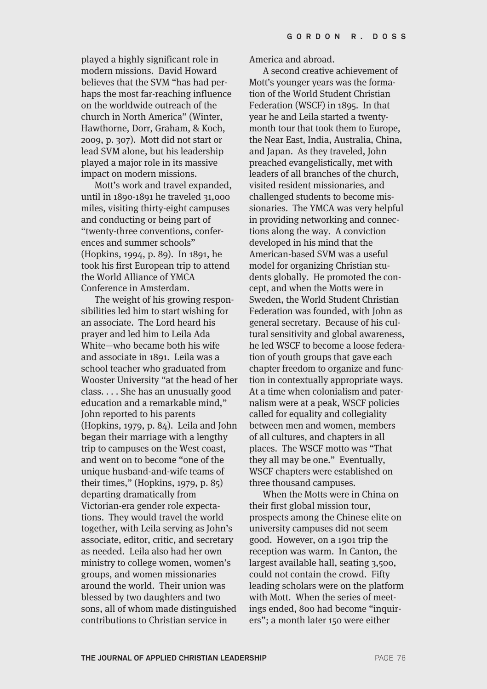played a highly significant role in modern missions. David Howard believes that the SVM "has had perhaps the most far-reaching influence on the worldwide outreach of the church in North America" (Winter, Hawthorne, Dorr, Graham, & Koch, 2009, p. 307). Mott did not start or lead SVM alone, but his leadership played a major role in its massive impact on modern missions.

Mott's work and travel expanded, until in 1890-1891 he traveled 31,000 miles, visiting thirty-eight campuses and conducting or being part of "twenty-three conventions, conferences and summer schools" (Hopkins, 1994, p. 89). In 1891, he took his first European trip to attend the World Alliance of YMCA Conference in Amsterdam.

The weight of his growing responsibilities led him to start wishing for an associate. The Lord heard his prayer and led him to Leila Ada White—who became both his wife and associate in 1891. Leila was a school teacher who graduated from Wooster University "at the head of her class. . . . She has an unusually good education and a remarkable mind," John reported to his parents (Hopkins, 1979, p. 84). Leila and John began their marriage with a lengthy trip to campuses on the West coast, and went on to become "one of the unique husband-and-wife teams of their times," (Hopkins, 1979, p. 85) departing dramatically from Victorian-era gender role expectations. They would travel the world together, with Leila serving as John's associate, editor, critic, and secretary as needed. Leila also had her own ministry to college women, women's groups, and women missionaries around the world. Their union was blessed by two daughters and two sons, all of whom made distinguished contributions to Christian service in

America and abroad.

A second creative achievement of Mott's younger years was the formation of the World Student Christian Federation (WSCF) in 1895. In that year he and Leila started a twentymonth tour that took them to Europe, the Near East, India, Australia, China, and Japan. As they traveled, John preached evangelistically, met with leaders of all branches of the church, visited resident missionaries, and challenged students to become missionaries. The YMCA was very helpful in providing networking and connections along the way. A conviction developed in his mind that the American-based SVM was a useful model for organizing Christian students globally. He promoted the concept, and when the Motts were in Sweden, the World Student Christian Federation was founded, with John as general secretary. Because of his cultural sensitivity and global awareness, he led WSCF to become a loose federation of youth groups that gave each chapter freedom to organize and function in contextually appropriate ways. At a time when colonialism and paternalism were at a peak, WSCF policies called for equality and collegiality between men and women, members of all cultures, and chapters in all places. The WSCF motto was "That they all may be one." Eventually, WSCF chapters were established on three thousand campuses.

When the Motts were in China on their first global mission tour, prospects among the Chinese elite on university campuses did not seem good. However, on a 1901 trip the reception was warm. In Canton, the largest available hall, seating 3,500, could not contain the crowd. Fifty leading scholars were on the platform with Mott. When the series of meetings ended, 800 had become "inquirers"; a month later 150 were either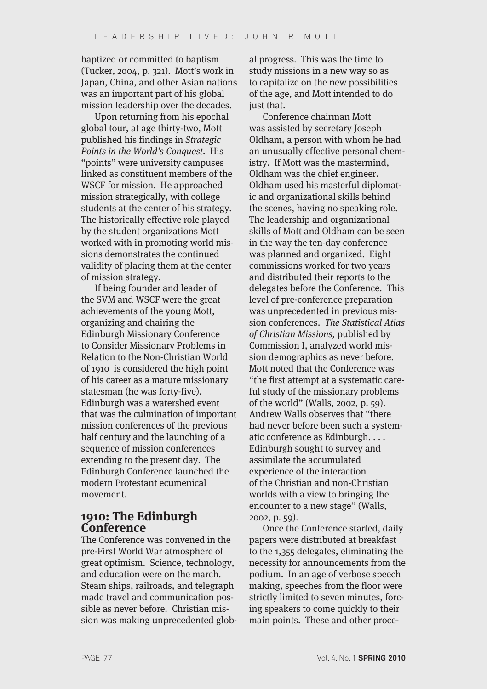baptized or committed to baptism (Tucker, 2004, p. 321). Mott's work in Japan, China, and other Asian nations was an important part of his global mission leadership over the decades.

Upon returning from his epochal global tour, at age thirty-two, Mott published his findings in Strategic Points in the World's Conquest. His "points" were university campuses linked as constituent members of the WSCF for mission. He approached mission strategically, with college students at the center of his strategy. The historically effective role played by the student organizations Mott worked with in promoting world missions demonstrates the continued validity of placing them at the center of mission strategy.

If being founder and leader of the SVM and WSCF were the great achievements of the young Mott, organizing and chairing the Edinburgh Missionary Conference to Consider Missionary Problems in Relation to the Non-Christian World of 1910 is considered the high point of his career as a mature missionary statesman (he was forty-five). Edinburgh was a watershed event that was the culmination of important mission conferences of the previous half century and the launching of a sequence of mission conferences extending to the present day. The Edinburgh Conference launched the modern Protestant ecumenical movement.

#### **1910: The Edinburgh Conference**

The Conference was convened in the pre-First World War atmosphere of great optimism. Science, technology, and education were on the march. Steam ships, railroads, and telegraph made travel and communication possible as never before. Christian mission was making unprecedented global progress. This was the time to study missions in a new way so as to capitalize on the new possibilities of the age, and Mott intended to do just that.

Conference chairman Mott was assisted by secretary Joseph Oldham, a person with whom he had an unusually effective personal chemistry. If Mott was the mastermind, Oldham was the chief engineer. Oldham used his masterful diplomatic and organizational skills behind the scenes, having no speaking role. The leadership and organizational skills of Mott and Oldham can be seen in the way the ten-day conference was planned and organized. Eight commissions worked for two years and distributed their reports to the delegates before the Conference. This level of pre-conference preparation was unprecedented in previous mission conferences. The Statistical Atlas of Christian Missions, published by Commission I, analyzed world mission demographics as never before. Mott noted that the Conference was "the first attempt at a systematic careful study of the missionary problems of the world" (Walls, 2002, p. 59). Andrew Walls observes that "there had never before been such a systematic conference as Edinburgh. . . . Edinburgh sought to survey and assimilate the accumulated experience of the interaction of the Christian and non-Christian worlds with a view to bringing the encounter to a new stage" (Walls, 2002, p. 59).

Once the Conference started, daily papers were distributed at breakfast to the 1,355 delegates, eliminating the necessity for announcements from the podium. In an age of verbose speech making, speeches from the floor were strictly limited to seven minutes, forcing speakers to come quickly to their main points. These and other proce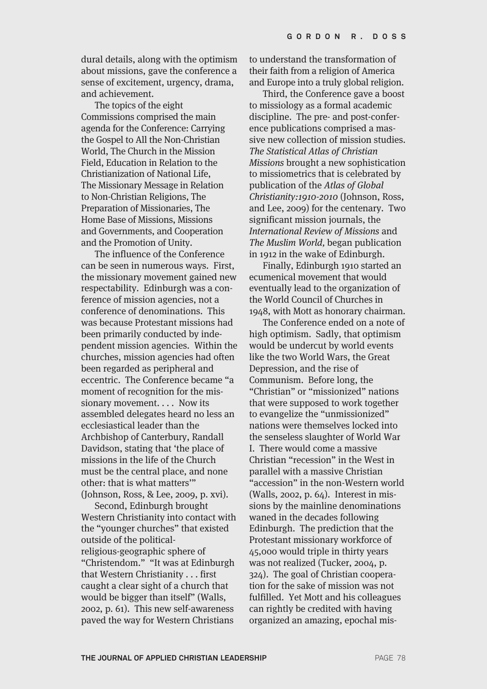dural details, along with the optimism about missions, gave the conference a sense of excitement, urgency, drama, and achievement.

The topics of the eight Commissions comprised the main agenda for the Conference: Carrying the Gospel to All the Non-Christian World, The Church in the Mission Field, Education in Relation to the Christianization of National Life, The Missionary Message in Relation to Non-Christian Religions, The Preparation of Missionaries, The Home Base of Missions, Missions and Governments, and Cooperation and the Promotion of Unity.

The influence of the Conference can be seen in numerous ways. First, the missionary movement gained new respectability. Edinburgh was a conference of mission agencies, not a conference of denominations. This was because Protestant missions had been primarily conducted by independent mission agencies. Within the churches, mission agencies had often been regarded as peripheral and eccentric. The Conference became "a moment of recognition for the missionary movement. . . . Now its assembled delegates heard no less an ecclesiastical leader than the Archbishop of Canterbury, Randall Davidson, stating that 'the place of missions in the life of the Church must be the central place, and none other: that is what matters'" (Johnson, Ross, & Lee, 2009, p. xvi).

Second, Edinburgh brought Western Christianity into contact with the "younger churches" that existed outside of the politicalreligious-geographic sphere of "Christendom." "It was at Edinburgh that Western Christianity . . . first caught a clear sight of a church that would be bigger than itself" (Walls, 2002, p. 61). This new self-awareness paved the way for Western Christians

to understand the transformation of their faith from a religion of America and Europe into a truly global religion.

Third, the Conference gave a boost to missiology as a formal academic discipline. The pre- and post-conference publications comprised a massive new collection of mission studies. The Statistical Atlas of Christian Missions brought a new sophistication to missiometrics that is celebrated by publication of the Atlas of Global Christianity:1910-2010 (Johnson, Ross, and Lee, 2009) for the centenary. Two significant mission journals, the International Review of Missions and The Muslim World, began publication in 1912 in the wake of Edinburgh.

Finally, Edinburgh 1910 started an ecumenical movement that would eventually lead to the organization of the World Council of Churches in 1948, with Mott as honorary chairman.

The Conference ended on a note of high optimism. Sadly, that optimism would be undercut by world events like the two World Wars, the Great Depression, and the rise of Communism. Before long, the "Christian" or "missionized" nations that were supposed to work together to evangelize the "unmissionized" nations were themselves locked into the senseless slaughter of World War I. There would come a massive Christian "recession" in the West in parallel with a massive Christian "accession" in the non-Western world (Walls, 2002, p. 64). Interest in missions by the mainline denominations waned in the decades following Edinburgh. The prediction that the Protestant missionary workforce of 45,000 would triple in thirty years was not realized (Tucker, 2004, p. 324). The goal of Christian cooperation for the sake of mission was not fulfilled. Yet Mott and his colleagues can rightly be credited with having organized an amazing, epochal mis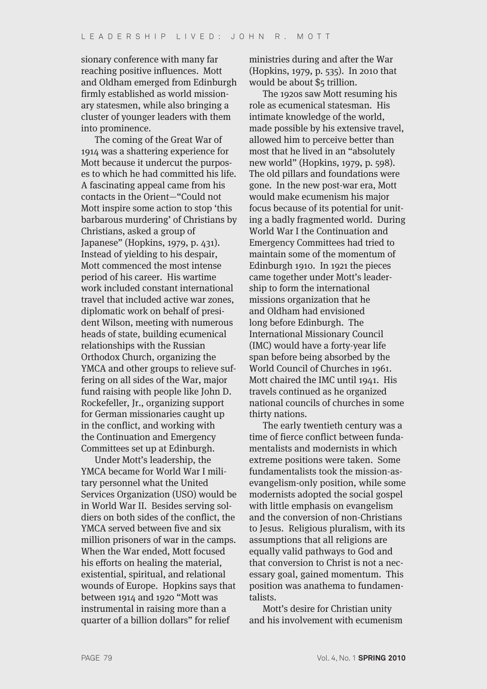sionary conference with many far reaching positive influences. Mott and Oldham emerged from Edinburgh firmly established as world missionary statesmen, while also bringing a cluster of younger leaders with them into prominence.

The coming of the Great War of 1914 was a shattering experience for Mott because it undercut the purposes to which he had committed his life. A fascinating appeal came from his contacts in the Orient—"Could not Mott inspire some action to stop 'this barbarous murdering' of Christians by Christians, asked a group of Japanese" (Hopkins, 1979, p. 431). Instead of yielding to his despair, Mott commenced the most intense period of his career. His wartime work included constant international travel that included active war zones, diplomatic work on behalf of president Wilson, meeting with numerous heads of state, building ecumenical relationships with the Russian Orthodox Church, organizing the YMCA and other groups to relieve suffering on all sides of the War, major fund raising with people like John D. Rockefeller, Jr., organizing support for German missionaries caught up in the conflict, and working with the Continuation and Emergency Committees set up at Edinburgh.

Under Mott's leadership, the YMCA became for World War I military personnel what the United Services Organization (USO) would be in World War II. Besides serving soldiers on both sides of the conflict, the YMCA served between five and six million prisoners of war in the camps. When the War ended, Mott focused his efforts on healing the material, existential, spiritual, and relational wounds of Europe. Hopkins says that between 1914 and 1920 "Mott was instrumental in raising more than a quarter of a billion dollars" for relief

ministries during and after the War (Hopkins, 1979, p. 535). In 2010 that would be about \$5 trillion.

The 1920s saw Mott resuming his role as ecumenical statesman. His intimate knowledge of the world, made possible by his extensive travel, allowed him to perceive better than most that he lived in an "absolutely new world" (Hopkins, 1979, p. 598). The old pillars and foundations were gone. In the new post-war era, Mott would make ecumenism his major focus because of its potential for uniting a badly fragmented world. During World War I the Continuation and Emergency Committees had tried to maintain some of the momentum of Edinburgh 1910. In 1921 the pieces came together under Mott's leadership to form the international missions organization that he and Oldham had envisioned long before Edinburgh. The International Missionary Council (IMC) would have a forty-year life span before being absorbed by the World Council of Churches in 1961. Mott chaired the IMC until 1941. His travels continued as he organized national councils of churches in some thirty nations.

The early twentieth century was a time of fierce conflict between fundamentalists and modernists in which extreme positions were taken. Some fundamentalists took the mission-asevangelism-only position, while some modernists adopted the social gospel with little emphasis on evangelism and the conversion of non-Christians to Jesus. Religious pluralism, with its assumptions that all religions are equally valid pathways to God and that conversion to Christ is not a necessary goal, gained momentum. This position was anathema to fundamentalists.

Mott's desire for Christian unity and his involvement with ecumenism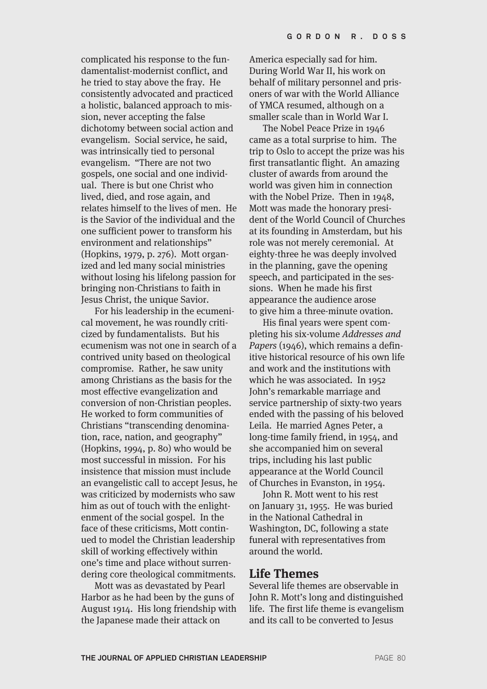complicated his response to the fundamentalist-modernist conflict, and he tried to stay above the fray. He consistently advocated and practiced a holistic, balanced approach to mission, never accepting the false dichotomy between social action and evangelism. Social service, he said, was intrinsically tied to personal evangelism. "There are not two gospels, one social and one individual. There is but one Christ who lived, died, and rose again, and relates himself to the lives of men. He is the Savior of the individual and the one sufficient power to transform his environment and relationships" (Hopkins, 1979, p. 276). Mott organized and led many social ministries without losing his lifelong passion for bringing non-Christians to faith in Jesus Christ, the unique Savior.

For his leadership in the ecumenical movement, he was roundly criticized by fundamentalists. But his ecumenism was not one in search of a contrived unity based on theological compromise. Rather, he saw unity among Christians as the basis for the most effective evangelization and conversion of non-Christian peoples. He worked to form communities of Christians "transcending denomination, race, nation, and geography" (Hopkins, 1994, p. 80) who would be most successful in mission. For his insistence that mission must include an evangelistic call to accept Jesus, he was criticized by modernists who saw him as out of touch with the enlightenment of the social gospel. In the face of these criticisms, Mott continued to model the Christian leadership skill of working effectively within one's time and place without surrendering core theological commitments.

Mott was as devastated by Pearl Harbor as he had been by the guns of August 1914. His long friendship with the Japanese made their attack on

America especially sad for him. During World War II, his work on behalf of military personnel and prisoners of war with the World Alliance of YMCA resumed, although on a smaller scale than in World War I.

The Nobel Peace Prize in 1946 came as a total surprise to him. The trip to Oslo to accept the prize was his first transatlantic flight. An amazing cluster of awards from around the world was given him in connection with the Nobel Prize. Then in 1948, Mott was made the honorary president of the World Council of Churches at its founding in Amsterdam, but his role was not merely ceremonial. At eighty-three he was deeply involved in the planning, gave the opening speech, and participated in the sessions. When he made his first appearance the audience arose to give him a three-minute ovation.

His final years were spent completing his six-volume Addresses and Papers (1946), which remains a definitive historical resource of his own life and work and the institutions with which he was associated. In 1952 John's remarkable marriage and service partnership of sixty-two years ended with the passing of his beloved Leila. He married Agnes Peter, a long-time family friend, in 1954, and she accompanied him on several trips, including his last public appearance at the World Council of Churches in Evanston, in 1954.

John R. Mott went to his rest on January 31, 1955. He was buried in the National Cathedral in Washington, DC, following a state funeral with representatives from around the world.

#### **Life Themes**

Several life themes are observable in John R. Mott's long and distinguished life. The first life theme is evangelism and its call to be converted to Jesus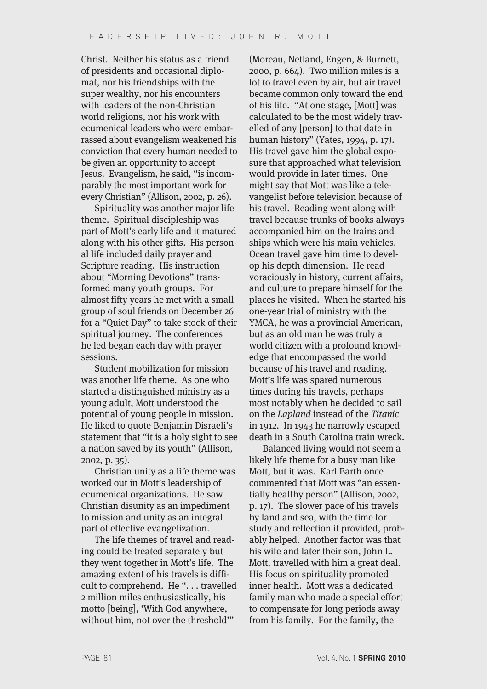Christ. Neither his status as a friend of presidents and occasional diplomat, nor his friendships with the super wealthy, nor his encounters with leaders of the non-Christian world religions, nor his work with ecumenical leaders who were embarrassed about evangelism weakened his conviction that every human needed to be given an opportunity to accept Jesus. Evangelism, he said, "is incomparably the most important work for every Christian" (Allison, 2002, p. 26).

Spirituality was another major life theme. Spiritual discipleship was part of Mott's early life and it matured along with his other gifts. His personal life included daily prayer and Scripture reading. His instruction about "Morning Devotions" transformed many youth groups. For almost fifty years he met with a small group of soul friends on December 26 for a "Quiet Day" to take stock of their spiritual journey. The conferences he led began each day with prayer sessions.

Student mobilization for mission was another life theme. As one who started a distinguished ministry as a young adult, Mott understood the potential of young people in mission. He liked to quote Benjamin Disraeli's statement that "it is a holy sight to see a nation saved by its youth" (Allison, 2002, p. 35).

Christian unity as a life theme was worked out in Mott's leadership of ecumenical organizations. He saw Christian disunity as an impediment to mission and unity as an integral part of effective evangelization.

The life themes of travel and reading could be treated separately but they went together in Mott's life. The amazing extent of his travels is difficult to comprehend. He "... travelled 2 million miles enthusiastically, his motto [being], 'With God anywhere, without him, not over the threshold'"

(Moreau, Netland, Engen, & Burnett, 2000, p. 664). Two million miles is a lot to travel even by air, but air travel became common only toward the end of his life. "At one stage, [Mott] was calculated to be the most widely travelled of any [person] to that date in human history" (Yates, 1994, p. 17). His travel gave him the global exposure that approached what television would provide in later times. One might say that Mott was like a televangelist before television because of his travel. Reading went along with travel because trunks of books always accompanied him on the trains and ships which were his main vehicles. Ocean travel gave him time to develop his depth dimension. He read voraciously in history, current affairs, and culture to prepare himself for the places he visited. When he started his one-year trial of ministry with the YMCA, he was a provincial American, but as an old man he was truly a world citizen with a profound knowledge that encompassed the world because of his travel and reading. Mott's life was spared numerous times during his travels, perhaps most notably when he decided to sail on the Lapland instead of the Titanic in 1912. In 1943 he narrowly escaped death in a South Carolina train wreck.

Balanced living would not seem a likely life theme for a busy man like Mott, but it was. Karl Barth once commented that Mott was "an essentially healthy person" (Allison, 2002, p. 17). The slower pace of his travels by land and sea, with the time for study and reflection it provided, probably helped. Another factor was that his wife and later their son, John L. Mott, travelled with him a great deal. His focus on spirituality promoted inner health. Mott was a dedicated family man who made a special effort to compensate for long periods away from his family. For the family, the